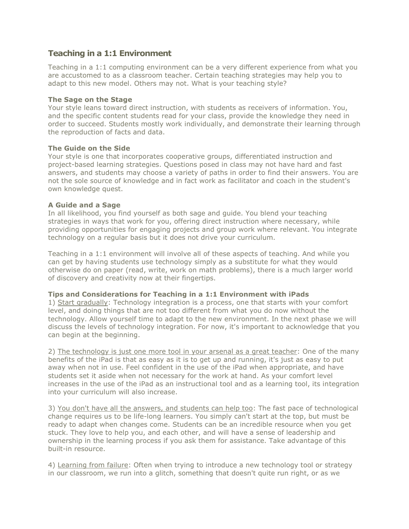## **Teaching in a 1:1 Environment**

Teaching in a 1:1 computing environment can be a very different experience from what you are accustomed to as a classroom teacher. Certain teaching strategies may help you to adapt to this new model. Others may not. What is your teaching style?

#### **The Sage on the Stage**

Your style leans toward direct instruction, with students as receivers of information. You, and the specific content students read for your class, provide the knowledge they need in order to succeed. Students mostly work individually, and demonstrate their learning through the reproduction of facts and data.

#### **The Guide on the Side**

Your style is one that incorporates cooperative groups, differentiated instruction and project-based learning strategies. Questions posed in class may not have hard and fast answers, and students may choose a variety of paths in order to find their answers. You are not the sole source of knowledge and in fact work as facilitator and coach in the student's own knowledge quest.

#### **A Guide and a Sage**

In all likelihood, you find yourself as both sage and guide. You blend your teaching strategies in ways that work for you, offering direct instruction where necessary, while providing opportunities for engaging projects and group work where relevant. You integrate technology on a regular basis but it does not drive your curriculum.

Teaching in a 1:1 environment will involve all of these aspects of teaching. And while you can get by having students use technology simply as a substitute for what they would otherwise do on paper (read, write, work on math problems), there is a much larger world of discovery and creativity now at their fingertips.

#### **Tips and Considerations for Teaching in a 1:1 Environment with iPads**

1) Start gradually: Technology integration is a process, one that starts with your comfort level, and doing things that are not too different from what you do now without the technology. Allow yourself time to adapt to the new environment. In the next phase we will discuss the levels of technology integration. For now, it's important to acknowledge that you can begin at the beginning.

2) The technology is just one more tool in your arsenal as a great teacher: One of the many benefits of the iPad is that as easy as it is to get up and running, it's just as easy to put away when not in use. Feel confident in the use of the iPad when appropriate, and have students set it aside when not necessary for the work at hand. As your comfort level increases in the use of the iPad as an instructional tool and as a learning tool, its integration into your curriculum will also increase.

3) You don't have all the answers, and students can help too: The fast pace of technological change requires us to be life-long learners. You simply can't start at the top, but must be ready to adapt when changes come. Students can be an incredible resource when you get stuck. They love to help you, and each other, and will have a sense of leadership and ownership in the learning process if you ask them for assistance. Take advantage of this built-in resource.

4) Learning from failure: Often when trying to introduce a new technology tool or strategy in our classroom, we run into a glitch, something that doesn't quite run right, or as we